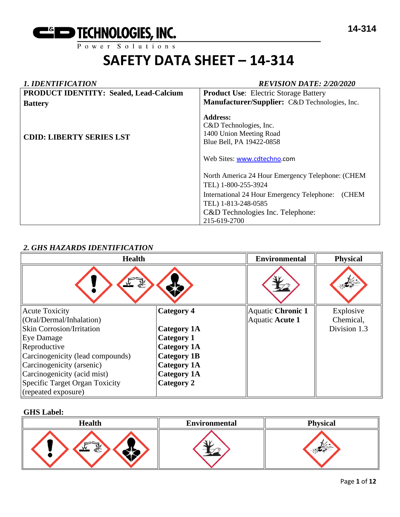

#### *1. IDENTIFICATION REVISION DATE: 2/20/2020* **PRODUCT IDENTITY: Sealed, Lead-Calcium Battery CDID: LIBERTY SERIES LST Product Use**: Electric Storage Battery **Manufacturer/Supplier:** C&D Technologies, Inc. **Address:**  C&D Technologies, Inc. 1400 Union Meeting Road Blue Bell, PA 19422-0858 Web Sites: [www.cdtechno.](http://www.cdtechno/)com North America 24 Hour Emergency Telephone: (CHEM TEL) 1-800-255-3924 International 24 Hour Emergency Telephone: (CHEM TEL) 1-813-248-0585 C&D Technologies Inc. Telephone: 215-619-2700

# *2. GHS HAZARDS IDENTIFICATION*

| <b>Health</b>                    |                    | <b>Environmental</b> | <b>Physical</b> |
|----------------------------------|--------------------|----------------------|-----------------|
| 系<br>$\mathbf{v}$                |                    |                      |                 |
| <b>Acute Toxicity</b>            | <b>Category 4</b>  | Aquatic Chronic 1    | Explosive       |
| (Oral/Dermal/Inhalation)         |                    | Aquatic Acute 1      | Chemical,       |
| <b>Skin Corrosion/Irritation</b> | <b>Category 1A</b> |                      | Division 1.3    |
| Eye Damage                       | Category 1         |                      |                 |
| Reproductive                     | <b>Category 1A</b> |                      |                 |
| Carcinogenicity (lead compounds) | <b>Category 1B</b> |                      |                 |
| Carcinogenicity (arsenic)        | <b>Category 1A</b> |                      |                 |
| Carcinogenicity (acid mist)      | <b>Category 1A</b> |                      |                 |
| Specific Target Organ Toxicity   | <b>Category 2</b>  |                      |                 |
| (repeated exposure)              |                    |                      |                 |

#### **GHS Label:**

| <b>Health</b>    | <b>Environmental</b> | <b>Physical</b> |
|------------------|----------------------|-----------------|
| <b>WIN</b><br>€े |                      |                 |

#### Page **1** of **12**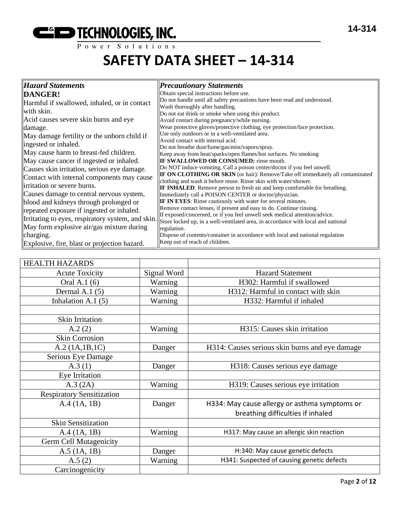# **EXECUTE THE THE TECHNOLOGIES, INC.**

# **SAFETY DATA SHEET – 14-314**

| <b>Hazard Statements</b>                         | <b>Precautionary Statements</b>                                                                                                                           |
|--------------------------------------------------|-----------------------------------------------------------------------------------------------------------------------------------------------------------|
| DANGER!                                          | Obtain special instructions before use.                                                                                                                   |
| Harmful if swallowed, inhaled, or in contact     | Do not handle until all safety precautions have been read and understood.                                                                                 |
| with skin.                                       | Wash thoroughly after handling.<br>Do not eat drink or smoke when using this product.                                                                     |
| Acid causes severe skin burns and eye            | Avoid contact during pregnancy/while nursing.                                                                                                             |
| damage.                                          | Wear protective gloves/protective clothing, eye protection/face protection.                                                                               |
| May damage fertility or the unborn child if      | Use only outdoors or in a well-ventilated area.<br>Avoid contact with internal acid.                                                                      |
| ingested or inhaled.                             | Do not breathe dust/fume/gas/mist/vapors/spray.                                                                                                           |
| May cause harm to breast-fed children.           | Keep away from heat/sparks/open flames/hot surfaces. No smoking                                                                                           |
| May cause cancer if ingested or inhaled.         | <b>IF SWALLOWED OR CONSUMED:</b> rinse mouth.                                                                                                             |
| Causes skin irritation, serious eye damage.      | Do NOT induce vomiting. Call a poison center/doctor if you feel unwell.                                                                                   |
| Contact with internal components may cause       | <b>IF ON CLOTHING OR SKIN</b> (or hair): Remove/Take off immediately all contaminated<br>clothing and wash it before reuse. Rinse skin with water/shower. |
| irritation or severe burns.                      | <b>IF INHALED:</b> Remove person to fresh air and keep comfortable for breathing.                                                                         |
| Causes damage to central nervous system,         | Immediately call a POISON CENTER or doctor/physician.                                                                                                     |
| blood and kidneys through prolonged or           | <b>IF IN EYES:</b> Rinse cautiously with water for several minutes.                                                                                       |
| repeated exposure if ingested or inhaled.        | Remove contact lenses, if present and easy to do. Continue rinsing.<br>If exposed/concerned, or if you feel unwell seek medical attention/advice.         |
| Irritating to eyes, respiratory system, and skin | Store locked up, in a well-ventilated area, in accordance with local and national                                                                         |
| May form explosive air/gas mixture during        | regulation.                                                                                                                                               |
| charging.                                        | Dispose of contents/container in accordance with local and national regulation                                                                            |
| Explosive, fire, blast or projection hazard.     | Keep out of reach of children.                                                                                                                            |

| <b>HEALTH HAZARDS</b>            |             |                                                |
|----------------------------------|-------------|------------------------------------------------|
| <b>Acute Toxicity</b>            | Signal Word | <b>Hazard Statement</b>                        |
| Oral A.1 (6)                     | Warning     | H302: Harmful if swallowed                     |
| Dermal A.1 $(5)$                 | Warning     | H312: Harmful in contact with skin             |
| Inhalation A.1 $(5)$             | Warning     | H332: Harmful if inhaled                       |
|                                  |             |                                                |
| Skin Irritation                  |             |                                                |
| A.2(2)                           | Warning     | H315: Causes skin irritation                   |
| <b>Skin Corrosion</b>            |             |                                                |
| A.2 (1A.1B.1C)                   | Danger      | H314: Causes serious skin burns and eye damage |
| Serious Eye Damage               |             |                                                |
| A.3(1)                           | Danger      | H318: Causes serious eye damage                |
| Eye Irritation                   |             |                                                |
| A.3 (2A)                         | Warning     | H319: Causes serious eye irritation            |
| <b>Respiratory Sensitization</b> |             |                                                |
| A.4(1A, 1B)                      | Danger      | H334: May cause allergy or asthma symptoms or  |
|                                  |             | breathing difficulties if inhaled              |
| <b>Skin Sensitization</b>        |             |                                                |
| A.4(1A, 1B)                      | Warning     | H317: May cause an allergic skin reaction      |
| <b>Germ Cell Mutagenicity</b>    |             |                                                |
| $A.5$ (1A, 1B)                   | Danger      | H:340: May cause genetic defects               |
| A.5(2)                           | Warning     | H341: Suspected of causing genetic defects     |
| Carcinogenicity                  |             |                                                |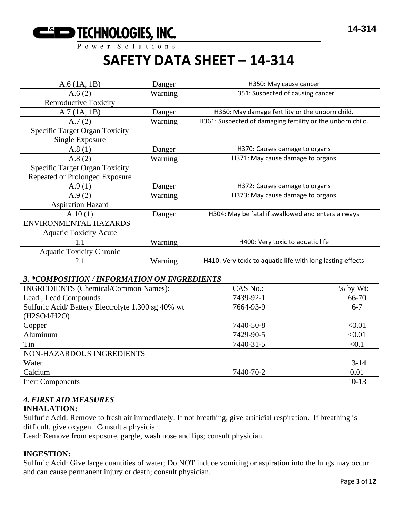

| $A.6$ (1A, 1B)                                           | Danger  | H350: May cause cancer                                     |
|----------------------------------------------------------|---------|------------------------------------------------------------|
| A.6(2)                                                   | Warning | H351: Suspected of causing cancer                          |
| <b>Reproductive Toxicity</b>                             |         |                                                            |
| A.7(1A, 1B)                                              | Danger  | H360: May damage fertility or the unborn child.            |
| A.7(2)                                                   | Warning | H361: Suspected of damaging fertility or the unborn child. |
| <b>Specific Target Organ Toxicity</b><br>Single Exposure |         |                                                            |
| A.8(1)                                                   | Danger  | H370: Causes damage to organs                              |
| A.8(2)                                                   | Warning | H371: May cause damage to organs                           |
| <b>Specific Target Organ Toxicity</b>                    |         |                                                            |
| Repeated or Prolonged Exposure                           |         |                                                            |
| A.9(1)                                                   | Danger  | H372: Causes damage to organs                              |
| A.9 $(2)$                                                | Warning | H373: May cause damage to organs                           |
| <b>Aspiration Hazard</b>                                 |         |                                                            |
| A.10(1)                                                  | Danger  | H304: May be fatal if swallowed and enters airways         |
| ENVIRONMENTAL HAZARDS                                    |         |                                                            |
| <b>Aquatic Toxicity Acute</b>                            |         |                                                            |
| 1.1                                                      | Warning | H400: Very toxic to aquatic life                           |
| <b>Aquatic Toxicity Chronic</b>                          |         |                                                            |
| 2.1                                                      | Warning | H410: Very toxic to aquatic life with long lasting effects |

# *3. \*COMPOSITION / INFORMATION ON INGREDIENTS*

| <b>INGREDIENTS (Chemical/Common Names):</b>        | CAS No.:  | $%$ by Wt: |
|----------------------------------------------------|-----------|------------|
| Lead, Lead Compounds                               | 7439-92-1 | 66-70      |
| Sulfuric Acid/ Battery Electrolyte 1.300 sg 40% wt | 7664-93-9 | $6 - 7$    |
| (H2SO4/H2O)                                        |           |            |
| Copper                                             | 7440-50-8 | < 0.01     |
| Aluminum                                           | 7429-90-5 | < 0.01     |
| Tin                                                | 7440-31-5 | < 0.1      |
| NON-HAZARDOUS INGREDIENTS                          |           |            |
| Water                                              |           | $13 - 14$  |
| Calcium                                            | 7440-70-2 | 0.01       |
| <b>Inert Components</b>                            |           | $10-13$    |

# *4. FIRST AID MEASURES*

# **INHALATION:**

Sulfuric Acid: Remove to fresh air immediately. If not breathing, give artificial respiration. If breathing is difficult, give oxygen. Consult a physician.

Lead: Remove from exposure, gargle, wash nose and lips; consult physician.

# **INGESTION:**

Sulfuric Acid: Give large quantities of water; Do NOT induce vomiting or aspiration into the lungs may occur and can cause permanent injury or death; consult physician.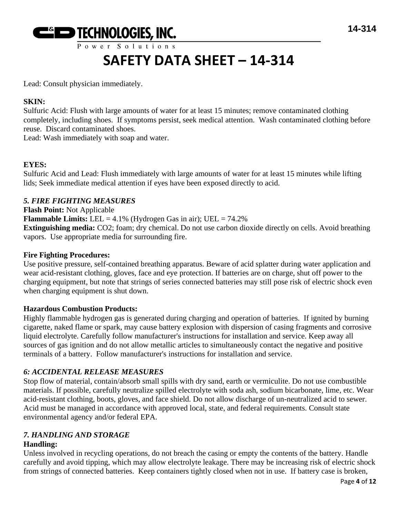

# **SAFETY DATA SHEET – 14-314**

Lead: Consult physician immediately.

# **SKIN:**

Sulfuric Acid: Flush with large amounts of water for at least 15 minutes; remove contaminated clothing completely, including shoes. If symptoms persist, seek medical attention. Wash contaminated clothing before reuse. Discard contaminated shoes.

Lead: Wash immediately with soap and water.

# **EYES:**

Sulfuric Acid and Lead: Flush immediately with large amounts of water for at least 15 minutes while lifting lids; Seek immediate medical attention if eyes have been exposed directly to acid.

# *5. FIRE FIGHTING MEASURES*

**Flash Point:** Not Applicable **Flammable Limits:** LEL =  $4.1\%$  (Hydrogen Gas in air); UEL =  $74.2\%$ **Extinguishing media:** CO2; foam; dry chemical. Do not use carbon dioxide directly on cells. Avoid breathing vapors. Use appropriate media for surrounding fire.

# **Fire Fighting Procedures:**

Use positive pressure, self-contained breathing apparatus. Beware of acid splatter during water application and wear acid-resistant clothing, gloves, face and eye protection. If batteries are on charge, shut off power to the charging equipment, but note that strings of series connected batteries may still pose risk of electric shock even when charging equipment is shut down.

# **Hazardous Combustion Products:**

Highly flammable hydrogen gas is generated during charging and operation of batteries. If ignited by burning cigarette, naked flame or spark, may cause battery explosion with dispersion of casing fragments and corrosive liquid electrolyte. Carefully follow manufacturer's instructions for installation and service. Keep away all sources of gas ignition and do not allow metallic articles to simultaneously contact the negative and positive terminals of a battery. Follow manufacturer's instructions for installation and service.

# *6: ACCIDENTAL RELEASE MEASURES*

Stop flow of material, contain/absorb small spills with dry sand, earth or vermiculite. Do not use combustible materials. If possible, carefully neutralize spilled electrolyte with soda ash, sodium bicarbonate, lime, etc. Wear acid-resistant clothing, boots, gloves, and face shield. Do not allow discharge of un-neutralized acid to sewer. Acid must be managed in accordance with approved local, state, and federal requirements. Consult state environmental agency and/or federal EPA.

# *7. HANDLING AND STORAGE*

# **Handling:**

Unless involved in recycling operations, do not breach the casing or empty the contents of the battery. Handle carefully and avoid tipping, which may allow electrolyte leakage. There may be increasing risk of electric shock from strings of connected batteries. Keep containers tightly closed when not in use. If battery case is broken,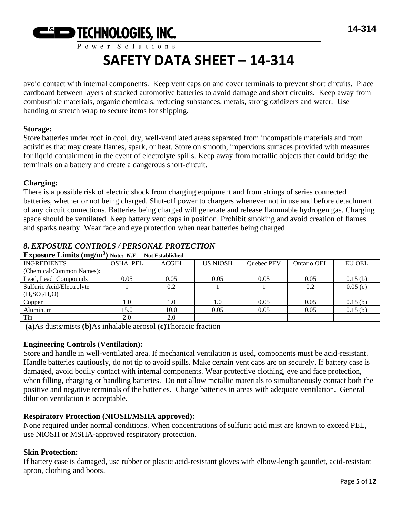

# **SAFETY DATA SHEET – 14-314**

avoid contact with internal components. Keep vent caps on and cover terminals to prevent short circuits. Place cardboard between layers of stacked automotive batteries to avoid damage and short circuits. Keep away from combustible materials, organic chemicals, reducing substances, metals, strong oxidizers and water. Use banding or stretch wrap to secure items for shipping.

#### **Storage:**

Store batteries under roof in cool, dry, well-ventilated areas separated from incompatible materials and from activities that may create flames, spark, or heat. Store on smooth, impervious surfaces provided with measures for liquid containment in the event of electrolyte spills. Keep away from metallic objects that could bridge the terminals on a battery and create a dangerous short-circuit.

#### **Charging:**

There is a possible risk of electric shock from charging equipment and from strings of series connected batteries, whether or not being charged. Shut-off power to chargers whenever not in use and before detachment of any circuit connections. Batteries being charged will generate and release flammable hydrogen gas. Charging space should be ventilated. Keep battery vent caps in position. Prohibit smoking and avoid creation of flames and sparks nearby. Wear face and eye protection when near batteries being charged.

# *8. EXPOSURE CONTROLS / PERSONAL PROTECTION*

| $\mathbf{L}$ $\mathbf{L}$ $\mathbf{L}$ $\mathbf{L}$ $\mathbf{L}$ $\mathbf{L}$ $\mathbf{L}$ $\mathbf{L}$ $\mathbf{L}$ $\mathbf{L}$ $\mathbf{L}$ $\mathbf{L}$ $\mathbf{L}$ $\mathbf{L}$ $\mathbf{L}$ $\mathbf{L}$ $\mathbf{L}$ $\mathbf{L}$ $\mathbf{L}$ $\mathbf{L}$ $\mathbf{L}$ $\mathbf{L}$ $\mathbf{L}$ $\mathbf{L}$ $\mathbf{$ |                 |              |                 |            |             |               |
|------------------------------------------------------------------------------------------------------------------------------------------------------------------------------------------------------------------------------------------------------------------------------------------------------------------------------------|-----------------|--------------|-----------------|------------|-------------|---------------|
| <b>INGREDIENTS</b>                                                                                                                                                                                                                                                                                                                 | <b>OSHA PEL</b> | <b>ACGIH</b> | <b>US NIOSH</b> | Quebec PEV | Ontario OEL | <b>EU OEL</b> |
| (Chemical/Common Names):                                                                                                                                                                                                                                                                                                           |                 |              |                 |            |             |               |
| Lead, Lead Compounds                                                                                                                                                                                                                                                                                                               | 0.05            | 0.05         | 0.05            | 0.05       | 0.05        | 0.15(b)       |
| Sulfuric Acid/Electrolyte                                                                                                                                                                                                                                                                                                          |                 | 0.2          |                 |            | 0.2         | 0.05(c)       |
| $(H_2SO_4/H_2O)$                                                                                                                                                                                                                                                                                                                   |                 |              |                 |            |             |               |
| Copper                                                                                                                                                                                                                                                                                                                             | 1.0             | 1.0          | 1.0             | 0.05       | 0.05        | 0.15(b)       |
| Aluminum                                                                                                                                                                                                                                                                                                                           | 15.0            | 10.0         | 0.05            | 0.05       | 0.05        | 0.15(b)       |
| Tin                                                                                                                                                                                                                                                                                                                                | 2.0             | 2.0          |                 |            |             |               |

# **Exposure Limits (mg/m<sup>3</sup> ) Note: N.E. = Not Established**

**(a)**As dusts/mists **(b)**As inhalable aerosol **(c)**Thoracic fraction

# **Engineering Controls (Ventilation):**

Store and handle in well-ventilated area. If mechanical ventilation is used, components must be acid-resistant. Handle batteries cautiously, do not tip to avoid spills. Make certain vent caps are on securely. If battery case is damaged, avoid bodily contact with internal components. Wear protective clothing, eye and face protection, when filling, charging or handling batteries. Do not allow metallic materials to simultaneously contact both the positive and negative terminals of the batteries. Charge batteries in areas with adequate ventilation. General dilution ventilation is acceptable.

# **Respiratory Protection (NIOSH/MSHA approved):**

None required under normal conditions. When concentrations of sulfuric acid mist are known to exceed PEL, use NIOSH or MSHA-approved respiratory protection.

# **Skin Protection:**

If battery case is damaged, use rubber or plastic acid-resistant gloves with elbow-length gauntlet, acid-resistant apron, clothing and boots.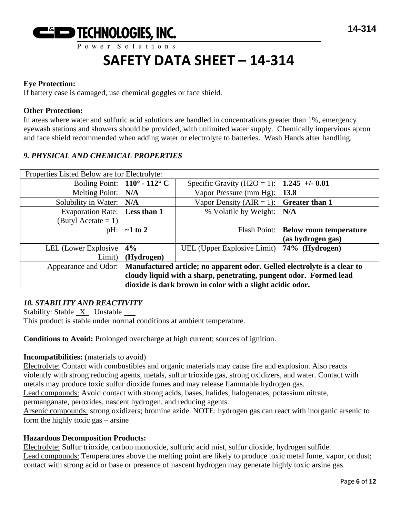

#### **Eye Protection:**

If battery case is damaged, use chemical goggles or face shield.

#### **Other Protection:**

In areas where water and sulfuric acid solutions are handled in concentrations greater than 1%, emergency eyewash stations and showers should be provided, with unlimited water supply. Chemically impervious apron and face shield recommended when adding water or electrolyte to batteries. Wash Hands after handling.

# *9. PHYSICAL AND CHEMICAL PROPERTIES*

| Properties Listed Below are for Electrolyte:                                                     |                                      |                                              |                                       |
|--------------------------------------------------------------------------------------------------|--------------------------------------|----------------------------------------------|---------------------------------------|
|                                                                                                  | Boiling Point: $\vert$ 110° - 112° C | Specific Gravity (H2O = 1):   1.245 +/- 0.01 |                                       |
| <b>Melting Point:</b>                                                                            | N/A                                  | Vapor Pressure (mm Hg):                      | 13.8                                  |
| Solubility in Water:                                                                             | N/A                                  | Vapor Density (AIR = 1):                     | <b>Greater than 1</b>                 |
| Evaporation Rate:                                                                                | Less than 1                          | % Volatile by Weight:                        | N/A                                   |
| (Butyl Acetate $= 1$ )                                                                           |                                      |                                              |                                       |
| $pH$ :                                                                                           | $\sim$ 1 to 2                        |                                              | Flash Point:   Below room temperature |
|                                                                                                  |                                      |                                              | (as hydrogen gas)                     |
| LEL (Lower Explosive                                                                             | 4%                                   | UEL (Upper Explosive Limit)   74% (Hydrogen) |                                       |
| Limit)                                                                                           | (Hydrogen)                           |                                              |                                       |
| Manufactured article; no apparent odor. Gelled electrolyte is a clear to<br>Appearance and Odor: |                                      |                                              |                                       |
| cloudy liquid with a sharp, penetrating, pungent odor. Formed lead                               |                                      |                                              |                                       |
| dioxide is dark brown in color with a slight acidic odor.                                        |                                      |                                              |                                       |

# *10. STABILITY AND REACTIVITY*

Stability: Stable X Unstable \_\_ This product is stable under normal conditions at ambient temperature.

**Conditions to Avoid:** Prolonged overcharge at high current; sources of ignition.

#### **Incompatibilities:** (materials to avoid)

Electrolyte: Contact with combustibles and organic materials may cause fire and explosion. Also reacts violently with strong reducing agents, metals, sulfur trioxide gas, strong oxidizers, and water. Contact with metals may produce toxic sulfur dioxide fumes and may release flammable hydrogen gas.

Lead compounds: Avoid contact with strong acids, bases, halides, halogenates, potassium nitrate,

permanganate, peroxides, nascent hydrogen, and reducing agents.

Arsenic compounds: strong oxidizers; bromine azide. NOTE: hydrogen gas can react with inorganic arsenic to form the highly toxic gas – arsine

#### **Hazardous Decomposition Products:**

Electrolyte: Sulfur trioxide, carbon monoxide, sulfuric acid mist, sulfur dioxide, hydrogen sulfide. Lead compounds: Temperatures above the melting point are likely to produce toxic metal fume, vapor, or dust; contact with strong acid or base or presence of nascent hydrogen may generate highly toxic arsine gas.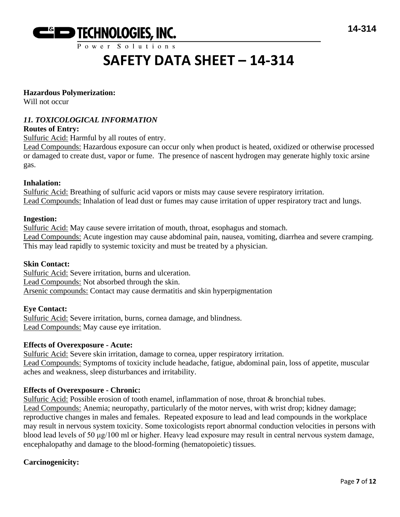

# **SAFETY DATA SHEET – 14-314**

#### **Hazardous Polymerization:**

Will not occur

# *11. TOXICOLOGICAL INFORMATION*

#### **Routes of Entry:**

Sulfuric Acid: Harmful by all routes of entry.

Lead Compounds: Hazardous exposure can occur only when product is heated, oxidized or otherwise processed or damaged to create dust, vapor or fume. The presence of nascent hydrogen may generate highly toxic arsine gas.

#### **Inhalation:**

Sulfuric Acid: Breathing of sulfuric acid vapors or mists may cause severe respiratory irritation. Lead Compounds: Inhalation of lead dust or fumes may cause irritation of upper respiratory tract and lungs.

#### **Ingestion:**

Sulfuric Acid: May cause severe irritation of mouth, throat, esophagus and stomach. Lead Compounds: Acute ingestion may cause abdominal pain, nausea, vomiting, diarrhea and severe cramping. This may lead rapidly to systemic toxicity and must be treated by a physician.

#### **Skin Contact:**

Sulfuric Acid: Severe irritation, burns and ulceration. Lead Compounds: Not absorbed through the skin. Arsenic compounds: Contact may cause dermatitis and skin hyperpigmentation

#### **Eye Contact:**

Sulfuric Acid: Severe irritation, burns, cornea damage, and blindness. Lead Compounds: May cause eye irritation.

#### **Effects of Overexposure - Acute:**

Sulfuric Acid: Severe skin irritation, damage to cornea, upper respiratory irritation. Lead Compounds: Symptoms of toxicity include headache, fatigue, abdominal pain, loss of appetite, muscular aches and weakness, sleep disturbances and irritability.

#### **Effects of Overexposure - Chronic:**

Sulfuric Acid: Possible erosion of tooth enamel, inflammation of nose, throat & bronchial tubes. Lead Compounds: Anemia; neuropathy, particularly of the motor nerves, with wrist drop; kidney damage; reproductive changes in males and females. Repeated exposure to lead and lead compounds in the workplace may result in nervous system toxicity. Some toxicologists report abnormal conduction velocities in persons with blood lead levels of 50 μg/100 ml or higher. Heavy lead exposure may result in central nervous system damage, encephalopathy and damage to the blood-forming (hematopoietic) tissues.

#### **Carcinogenicity:**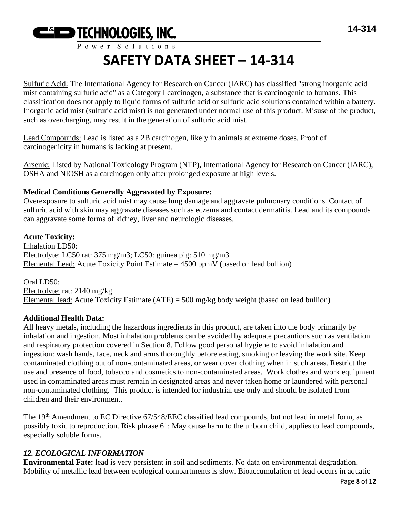

# **SAFETY DATA SHEET – 14-314**

Sulfuric Acid: The International Agency for Research on Cancer (IARC) has classified "strong inorganic acid mist containing sulfuric acid" as a Category I carcinogen, a substance that is carcinogenic to humans. This classification does not apply to liquid forms of sulfuric acid or sulfuric acid solutions contained within a battery. Inorganic acid mist (sulfuric acid mist) is not generated under normal use of this product. Misuse of the product, such as overcharging, may result in the generation of sulfuric acid mist.

Lead Compounds: Lead is listed as a 2B carcinogen, likely in animals at extreme doses. Proof of carcinogenicity in humans is lacking at present.

Arsenic: Listed by National Toxicology Program (NTP), International Agency for Research on Cancer (IARC), OSHA and NIOSH as a carcinogen only after prolonged exposure at high levels.

# **Medical Conditions Generally Aggravated by Exposure:**

Overexposure to sulfuric acid mist may cause lung damage and aggravate pulmonary conditions. Contact of sulfuric acid with skin may aggravate diseases such as eczema and contact dermatitis. Lead and its compounds can aggravate some forms of kidney, liver and neurologic diseases.

# **Acute Toxicity:**

Inhalation LD50: Electrolyte: LC50 rat: 375 mg/m3; LC50: guinea pig: 510 mg/m3 Elemental Lead: Acute Toxicity Point Estimate =  $4500$  ppmV (based on lead bullion)

Oral LD50: Electrolyte: rat: 2140 mg/kg Elemental lead: Acute Toxicity Estimate (ATE) = 500 mg/kg body weight (based on lead bullion)

# **Additional Health Data:**

All heavy metals, including the hazardous ingredients in this product, are taken into the body primarily by inhalation and ingestion. Most inhalation problems can be avoided by adequate precautions such as ventilation and respiratory protection covered in Section 8. Follow good personal hygiene to avoid inhalation and ingestion: wash hands, face, neck and arms thoroughly before eating, smoking or leaving the work site. Keep contaminated clothing out of non-contaminated areas, or wear cover clothing when in such areas. Restrict the use and presence of food, tobacco and cosmetics to non-contaminated areas. Work clothes and work equipment used in contaminated areas must remain in designated areas and never taken home or laundered with personal non-contaminated clothing. This product is intended for industrial use only and should be isolated from children and their environment.

The 19<sup>th</sup> Amendment to EC Directive 67/548/EEC classified lead compounds, but not lead in metal form, as possibly toxic to reproduction. Risk phrase 61: May cause harm to the unborn child, applies to lead compounds, especially soluble forms.

# *12. ECOLOGICAL INFORMATION*

**Environmental Fate:** lead is very persistent in soil and sediments. No data on environmental degradation. Mobility of metallic lead between ecological compartments is slow. Bioaccumulation of lead occurs in aquatic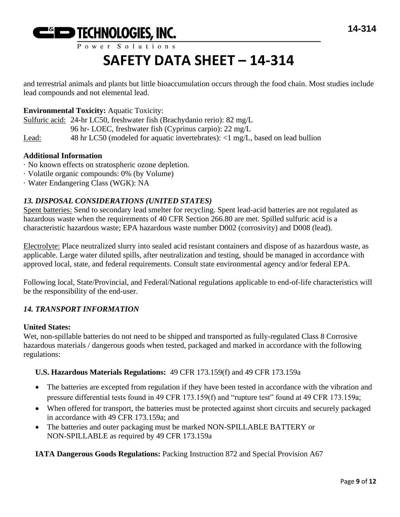

# **SAFETY DATA SHEET – 14-314**

and terrestrial animals and plants but little bioaccumulation occurs through the food chain. Most studies include lead compounds and not elemental lead.

# **Environmental Toxicity:** Aquatic Toxicity:

Sulfuric acid: 24-hr LC50, freshwater fish (Brachydanio rerio): 82 mg/L

96 hr- LOEC, freshwater fish (Cyprinus carpio): 22 mg/L

Lead: 48 hr LC50 (modeled for aquatic invertebrates): <1 mg/L, based on lead bullion

# **Additional Information**

- · No known effects on stratospheric ozone depletion.
- · Volatile organic compounds: 0% (by Volume)
- · Water Endangering Class (WGK): NA

# *13. DISPOSAL CONSIDERATIONS (UNITED STATES)*

Spent batteries: Send to secondary lead smelter for recycling. Spent lead-acid batteries are not regulated as hazardous waste when the requirements of 40 CFR Section 266.80 are met. Spilled sulfuric acid is a characteristic hazardous waste; EPA hazardous waste number D002 (corrosivity) and D008 (lead).

Electrolyte: Place neutralized slurry into sealed acid resistant containers and dispose of as hazardous waste, as applicable. Large water diluted spills, after neutralization and testing, should be managed in accordance with approved local, state, and federal requirements. Consult state environmental agency and/or federal EPA.

Following local, State/Provincial, and Federal/National regulations applicable to end-of-life characteristics will be the responsibility of the end-user.

# *14. TRANSPORT INFORMATION*

# **United States:**

Wet, non-spillable batteries do not need to be shipped and transported as fully-regulated Class 8 Corrosive hazardous materials / dangerous goods when tested, packaged and marked in accordance with the following regulations:

# **U.S. Hazardous Materials Regulations:** 49 CFR 173.159(f) and 49 CFR 173.159a

- The batteries are excepted from regulation if they have been tested in accordance with the vibration and pressure differential tests found in 49 CFR 173.159(f) and "rupture test" found at 49 CFR 173.159a;
- When offered for transport, the batteries must be protected against short circuits and securely packaged in accordance with 49 CFR 173.159a; and
- The batteries and outer packaging must be marked NON-SPILLABLE BATTERY or NON-SPILLABLE as required by 49 CFR 173.159a

**IATA Dangerous Goods Regulations:** Packing Instruction 872 and Special Provision A67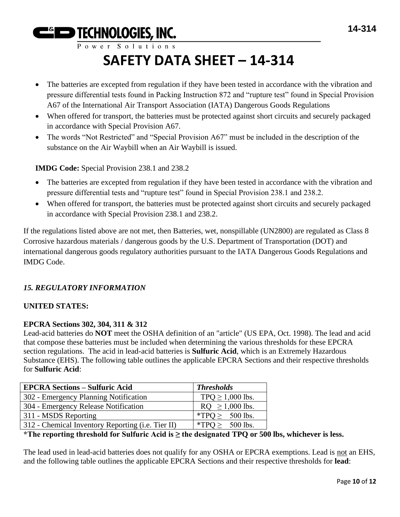**EGIO TECHNOLOGIES, INC.** 

# **SAFETY DATA SHEET – 14-314**

- The batteries are excepted from regulation if they have been tested in accordance with the vibration and pressure differential tests found in Packing Instruction 872 and "rupture test" found in Special Provision A67 of the International Air Transport Association (IATA) Dangerous Goods Regulations
- When offered for transport, the batteries must be protected against short circuits and securely packaged in accordance with Special Provision A67.
- The words "Not Restricted" and "Special Provision A67" must be included in the description of the substance on the Air Waybill when an Air Waybill is issued.

**IMDG Code:** Special Provision 238.1 and 238.2

- The batteries are excepted from regulation if they have been tested in accordance with the vibration and pressure differential tests and "rupture test" found in Special Provision 238.1 and 238.2.
- When offered for transport, the batteries must be protected against short circuits and securely packaged in accordance with Special Provision 238.1 and 238.2.

If the regulations listed above are not met, then Batteries, wet, nonspillable (UN2800) are regulated as Class 8 Corrosive hazardous materials / dangerous goods by the U.S. Department of Transportation (DOT) and international dangerous goods regulatory authorities pursuant to the IATA Dangerous Goods Regulations and IMDG Code.

# *15. REGULATORY INFORMATION*

# **UNITED STATES:**

# **EPCRA Sections 302, 304, 311 & 312**

Lead-acid batteries do **NOT** meet the OSHA definition of an "article" (US EPA, Oct. 1998). The lead and acid that compose these batteries must be included when determining the various thresholds for these EPCRA section regulations. The acid in lead-acid batteries is **Sulfuric Acid**, which is an Extremely Hazardous Substance (EHS). The following table outlines the applicable EPCRA Sections and their respective thresholds for **Sulfuric Acid**:

| <b>EPCRA Sections - Sulfuric Acid</b>             | <b>Thresholds</b>    |
|---------------------------------------------------|----------------------|
| 302 - Emergency Planning Notification             | $TPQ \ge 1,000$ lbs. |
| 304 - Emergency Release Notification              | $RQ \ge 1,000$ lbs.  |
| 311 - MSDS Reporting                              | *TPQ $\geq$ 500 lbs. |
| 312 - Chemical Inventory Reporting (i.e. Tier II) | *TPO > $500$ lbs.    |

**\*The reporting threshold for Sulfuric Acid is ≥ the designated TPQ or 500 lbs, whichever is less.**

The lead used in lead-acid batteries does not qualify for any OSHA or EPCRA exemptions. Lead is not an EHS, and the following table outlines the applicable EPCRA Sections and their respective thresholds for **lead**: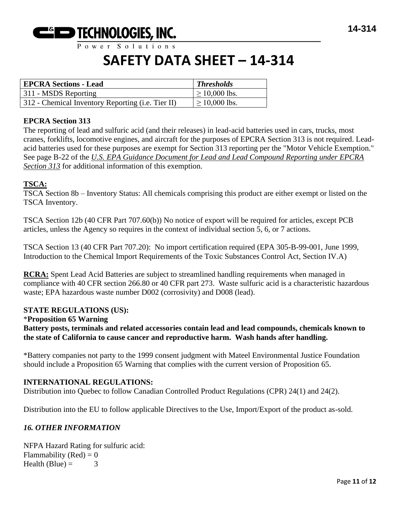

# **SAFETY DATA SHEET – 14-314**

| <b>EPCRA Sections - Lead</b>                      | <b>Thresholds</b>  |
|---------------------------------------------------|--------------------|
| 311 - MSDS Reporting                              | $\geq$ 10,000 lbs. |
| 312 - Chemical Inventory Reporting (i.e. Tier II) | $\geq$ 10,000 lbs. |

#### **EPCRA Section 313**

The reporting of lead and sulfuric acid (and their releases) in lead-acid batteries used in cars, trucks, most cranes, forklifts, locomotive engines, and aircraft for the purposes of EPCRA Section 313 is not required. Leadacid batteries used for these purposes are exempt for Section 313 reporting per the "Motor Vehicle Exemption." See page B-22 of the *U.S. EPA Guidance Document for Lead and Lead Compound Reporting under EPCRA Section 313* for additional information of this exemption.

#### **TSCA:**

TSCA Section 8b – Inventory Status: All chemicals comprising this product are either exempt or listed on the TSCA Inventory.

TSCA Section 12b (40 CFR Part 707.60(b)) No notice of export will be required for articles, except PCB articles, unless the Agency so requires in the context of individual section 5, 6, or 7 actions.

TSCA Section 13 (40 CFR Part 707.20): No import certification required (EPA 305-B-99-001, June 1999, Introduction to the Chemical Import Requirements of the Toxic Substances Control Act, Section IV.A)

**RCRA:** Spent Lead Acid Batteries are subject to streamlined handling requirements when managed in compliance with 40 CFR section 266.80 or 40 CFR part 273. Waste sulfuric acid is a characteristic hazardous waste; EPA hazardous waste number D002 (corrosivity) and D008 (lead).

#### **STATE REGULATIONS (US):**

#### \***Proposition 65 Warning**

**Battery posts, terminals and related accessories contain lead and lead compounds, chemicals known to the state of California to cause cancer and reproductive harm. Wash hands after handling.**

\*Battery companies not party to the 1999 consent judgment with Mateel Environmental Justice Foundation should include a Proposition 65 Warning that complies with the current version of Proposition 65.

#### **INTERNATIONAL REGULATIONS:**

Distribution into Quebec to follow Canadian Controlled Product Regulations (CPR) 24(1) and 24(2).

Distribution into the EU to follow applicable Directives to the Use, Import/Export of the product as-sold.

#### *16. OTHER INFORMATION*

NFPA Hazard Rating for sulfuric acid: Flammability (Red)  $= 0$ Health (Blue)  $=$  3